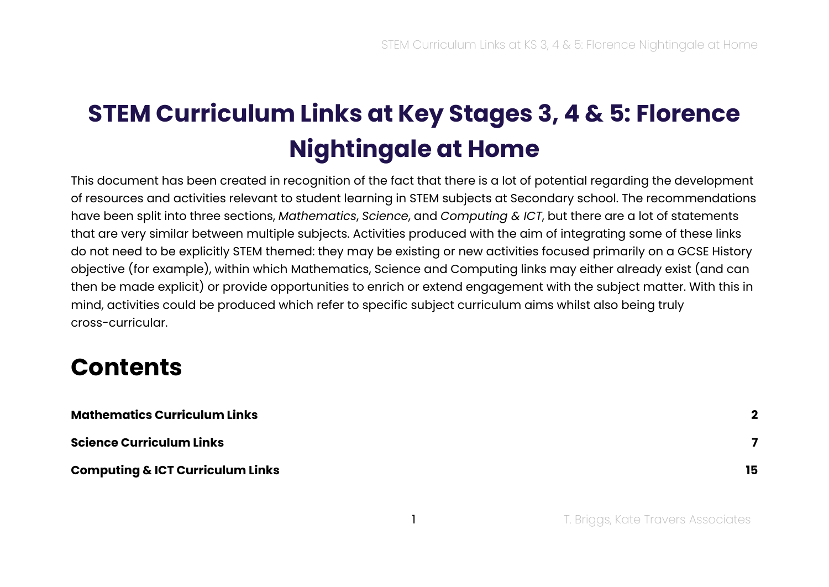# **STEM Curriculum Links at Key Stages 3, 4 & 5: Florence Nightingale at Home**

This document has been created in recognition of the fact that there is a lot of potential regarding the development of resources and activities relevant to student learning in STEM subjects at Secondary school. The recommendations have been split into three sections, *Mathematics*, *Science*, and *Computing & ICT*, but there are a lot of statements that are very similar between multiple subjects. Activities produced with the aim of integrating some of these links do not need to be explicitly STEM themed: they may be existing or new activities focused primarily on a GCSE History objective (for example), within which Mathematics, Science and Computing links may either already exist (and can then be made explicit) or provide opportunities to enrich or extend engagement with the subject matter. With this in mind, activities could be produced which refer to specific subject curriculum aims whilst also being truly cross-curricular.

#### **Contents**

| <b>Mathematics Curriculum Links</b>         | $\boldsymbol{\mathcal{P}}$ |
|---------------------------------------------|----------------------------|
| <b>Science Curriculum Links</b>             |                            |
| <b>Computing &amp; ICT Curriculum Links</b> | 15                         |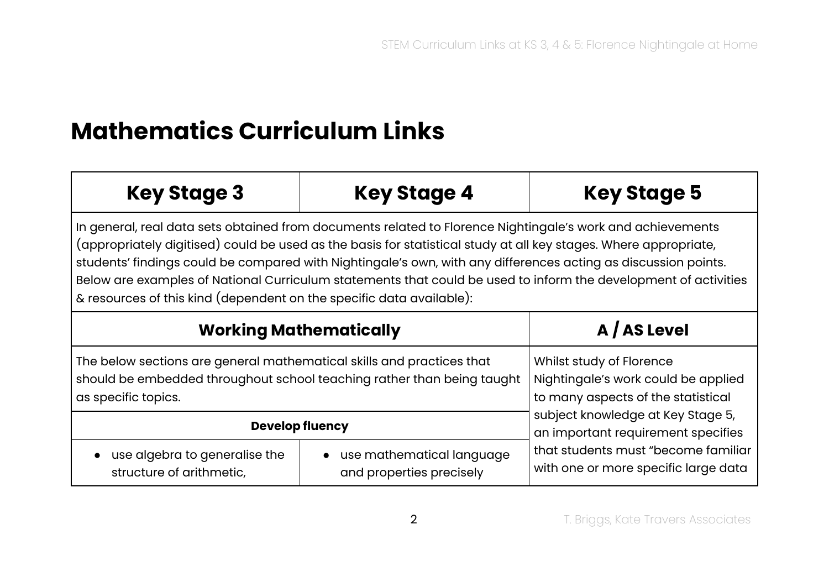## <span id="page-1-0"></span>**Mathematics Curriculum Links**

| <b>Key Stage 3</b>                                                                                                                                                                                                                                                                                                                                                                                                                                                                                                                          | <b>Key Stage 4</b>                                      | <b>Key Stage 5</b>                                                                                    |
|---------------------------------------------------------------------------------------------------------------------------------------------------------------------------------------------------------------------------------------------------------------------------------------------------------------------------------------------------------------------------------------------------------------------------------------------------------------------------------------------------------------------------------------------|---------------------------------------------------------|-------------------------------------------------------------------------------------------------------|
| In general, real data sets obtained from documents related to Florence Nightingale's work and achievements<br>(appropriately digitised) could be used as the basis for statistical study at all key stages. Where appropriate,<br>students' findings could be compared with Nightingale's own, with any differences acting as discussion points.<br>Below are examples of National Curriculum statements that could be used to inform the development of activities<br>& resources of this kind (dependent on the specific data available): |                                                         |                                                                                                       |
|                                                                                                                                                                                                                                                                                                                                                                                                                                                                                                                                             | <b>Working Mathematically</b>                           | A / AS Level                                                                                          |
| The below sections are general mathematical skills and practices that<br>should be embedded throughout school teaching rather than being taught<br>as specific topics.                                                                                                                                                                                                                                                                                                                                                                      |                                                         | Whilst study of Florence<br>Nightingale's work could be applied<br>to many aspects of the statistical |
| <b>Develop fluency</b>                                                                                                                                                                                                                                                                                                                                                                                                                                                                                                                      |                                                         | subject knowledge at Key Stage 5,<br>an important requirement specifies                               |
| use algebra to generalise the<br>structure of arithmetic,                                                                                                                                                                                                                                                                                                                                                                                                                                                                                   | • use mathematical language<br>and properties precisely | that students must "become familiar<br>with one or more specific large data                           |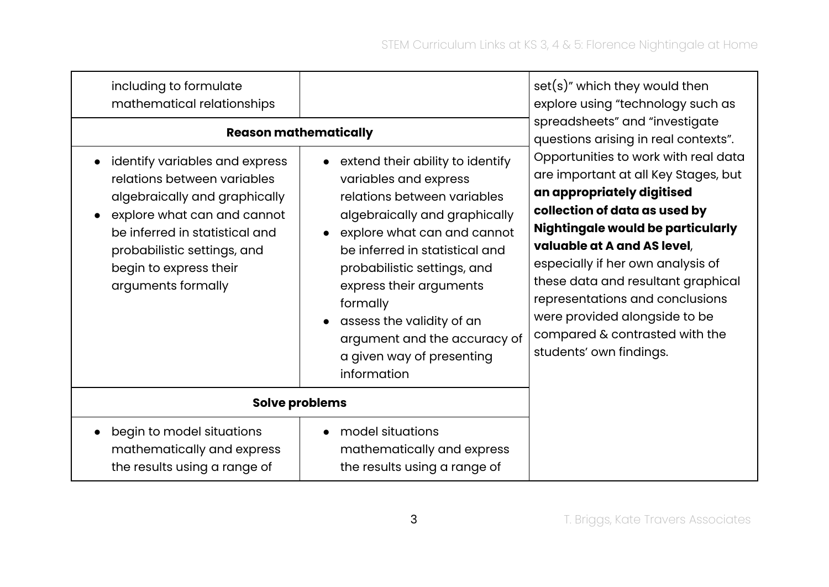| including to formulate<br>mathematical relationships<br>identify variables and express<br>relations between variables<br>algebraically and graphically<br>explore what can and cannot<br>be inferred in statistical and<br>probabilistic settings, and<br>begin to express their<br>arguments formally | <b>Reason mathematically</b><br>• extend their ability to identify<br>variables and express<br>relations between variables<br>algebraically and graphically<br>explore what can and cannot<br>be inferred in statistical and<br>probabilistic settings, and<br>express their arguments<br>formally<br>assess the validity of an<br>argument and the accuracy of<br>a given way of presenting<br>information | $set(s)$ " which they would then<br>explore using "technology such as<br>spreadsheets" and "investigate<br>questions arising in real contexts".<br>Opportunities to work with real data<br>are important at all Key Stages, but<br>an appropriately digitised<br>collection of data as used by<br><b>Nightingale would be particularly</b><br>valuable at A and AS level,<br>especially if her own analysis of<br>these data and resultant graphical<br>representations and conclusions<br>were provided alongside to be<br>compared & contrasted with the<br>students' own findings. |
|--------------------------------------------------------------------------------------------------------------------------------------------------------------------------------------------------------------------------------------------------------------------------------------------------------|-------------------------------------------------------------------------------------------------------------------------------------------------------------------------------------------------------------------------------------------------------------------------------------------------------------------------------------------------------------------------------------------------------------|---------------------------------------------------------------------------------------------------------------------------------------------------------------------------------------------------------------------------------------------------------------------------------------------------------------------------------------------------------------------------------------------------------------------------------------------------------------------------------------------------------------------------------------------------------------------------------------|
|                                                                                                                                                                                                                                                                                                        | Solve problems                                                                                                                                                                                                                                                                                                                                                                                              |                                                                                                                                                                                                                                                                                                                                                                                                                                                                                                                                                                                       |
| begin to model situations<br>mathematically and express<br>the results using a range of                                                                                                                                                                                                                | model situations<br>mathematically and express<br>the results using a range of                                                                                                                                                                                                                                                                                                                              |                                                                                                                                                                                                                                                                                                                                                                                                                                                                                                                                                                                       |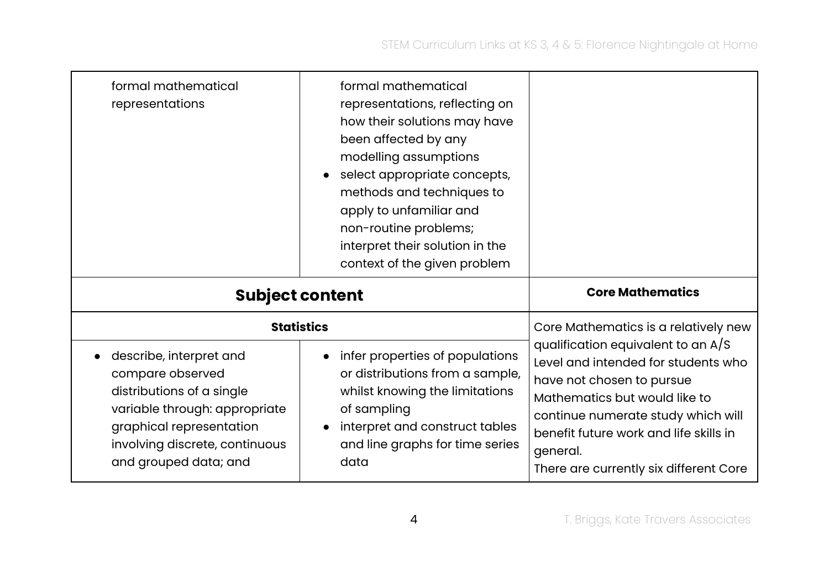| formal mathematical<br>representations                                                                                                                                  | formal mathematical<br>representations, reflecting on<br>how their solutions may have<br>been affected by any<br>modelling assumptions<br>select appropriate concepts,<br>methods and techniques to<br>apply to unfamiliar and<br>non-routine problems;<br>interpret their solution in the<br>context of the given problem |                                                                                                                                                                                                                           |
|-------------------------------------------------------------------------------------------------------------------------------------------------------------------------|----------------------------------------------------------------------------------------------------------------------------------------------------------------------------------------------------------------------------------------------------------------------------------------------------------------------------|---------------------------------------------------------------------------------------------------------------------------------------------------------------------------------------------------------------------------|
|                                                                                                                                                                         | <b>Subject content</b>                                                                                                                                                                                                                                                                                                     | <b>Core Mathematics</b>                                                                                                                                                                                                   |
|                                                                                                                                                                         | <b>Statistics</b>                                                                                                                                                                                                                                                                                                          | Core Mathematics is a relatively new                                                                                                                                                                                      |
| describe, interpret and<br>compare observed<br>distributions of a single<br>variable through: appropriate<br>graphical representation<br>involving discrete, continuous | infer properties of populations<br>or distributions from a sample,<br>whilst knowing the limitations<br>of sampling<br>interpret and construct tables<br>and line graphs for time series                                                                                                                                   | qualification equivalent to an $A/S$<br>Level and intended for students who<br>have not chosen to pursue<br>Mathematics but would like to<br>continue numerate study which will<br>benefit future work and life skills in |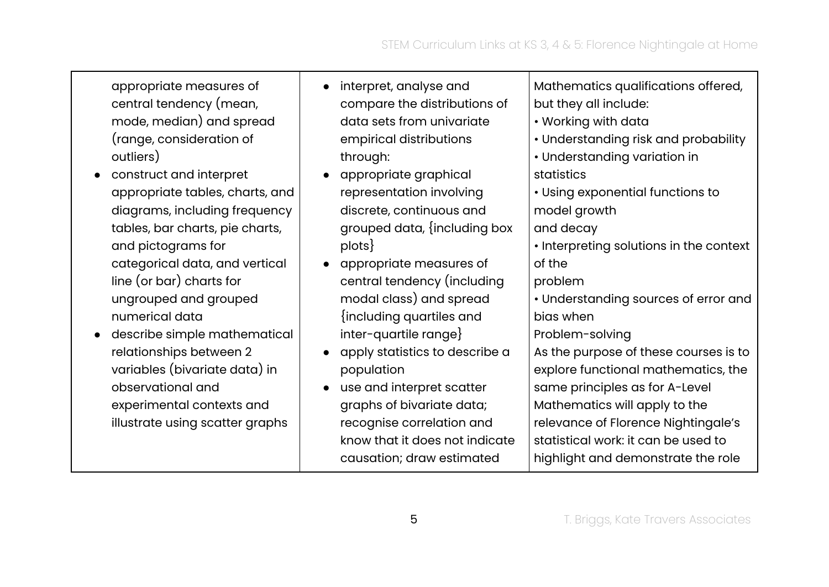appropriate measures of central tendency (mean, mode, median) and spread (range, consideration of outliers)

- construct and interpret appropriate tables, charts, and diagrams, including frequency tables, bar charts, pie charts, and pictograms for categorical data, and vertical line (or bar) charts for ungrouped and grouped numerical data
- describe simple mathematical relationships between 2 variables (bivariate data) in observational and experimental contexts and illustrate using scatter graphs
- interpret, analyse and compare the distributions of data sets from univariate empirical distributions through:
- appropriate graphical representation involving discrete, continuous and grouped data, {including box plots}

● appropriate measures of central tendency (including modal class) and spread {including quartiles and inter-quartile range}

● apply statistics to describe a population

● use and interpret scatter graphs of bivariate data; recognise correlation and know that it does not indicate causation; draw estimated

Mathematics qualifications offered, but they all include:

- Working with data
- Understanding risk and probability
- Understanding variation in statistics
- Using exponential functions to model growth

and decay

• Interpreting solutions in the context of the

problem

• Understanding sources of error and bias when

Problem-solving

As the purpose of these courses is to explore functional mathematics, the same principles as for A-Level Mathematics will apply to the relevance of Florence Nightingale's statistical work: it can be used to highlight and demonstrate the role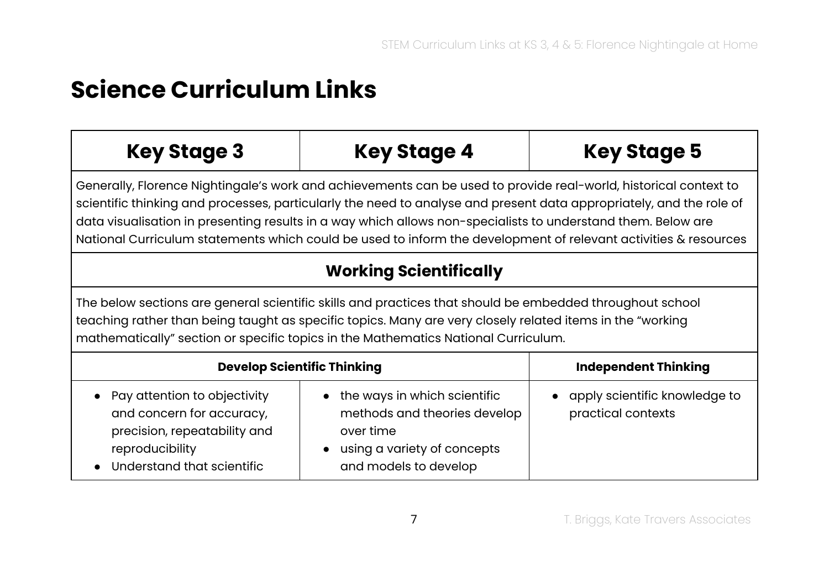#### <span id="page-6-0"></span>**Science Curriculum Links**

| <b>Key Stage 3</b>                                                                                                                                                                                                                                                                                                                                                                                                                                                         | <b>Key Stage 4</b>                                                        | <b>Key Stage 5</b>                                  |
|----------------------------------------------------------------------------------------------------------------------------------------------------------------------------------------------------------------------------------------------------------------------------------------------------------------------------------------------------------------------------------------------------------------------------------------------------------------------------|---------------------------------------------------------------------------|-----------------------------------------------------|
| Generally, Florence Nightingale's work and achievements can be used to provide real-world, historical context to<br>scientific thinking and processes, particularly the need to analyse and present data appropriately, and the role of<br>data visualisation in presenting results in a way which allows non-specialists to understand them. Below are<br>National Curriculum statements which could be used to inform the development of relevant activities & resources |                                                                           |                                                     |
| <b>Working Scientifically</b>                                                                                                                                                                                                                                                                                                                                                                                                                                              |                                                                           |                                                     |
| The below sections are general scientific skills and practices that should be embedded throughout school<br>teaching rather than being taught as specific topics. Many are very closely related items in the "working<br>mathematically" section or specific topics in the Mathematics National Curriculum.                                                                                                                                                                |                                                                           |                                                     |
| <b>Develop Scientific Thinking</b>                                                                                                                                                                                                                                                                                                                                                                                                                                         |                                                                           | <b>Independent Thinking</b>                         |
| Pay attention to objectivity<br>and concern for accuracy,                                                                                                                                                                                                                                                                                                                                                                                                                  | the ways in which scientific<br>$\bullet$<br>methods and theories develop | apply scientific knowledge to<br>practical contexts |

| precision, repeatability and | over time                   |
|------------------------------|-----------------------------|
| reproducibility              | using a variety of concepts |
| Understand that scientific   | and models to develop       |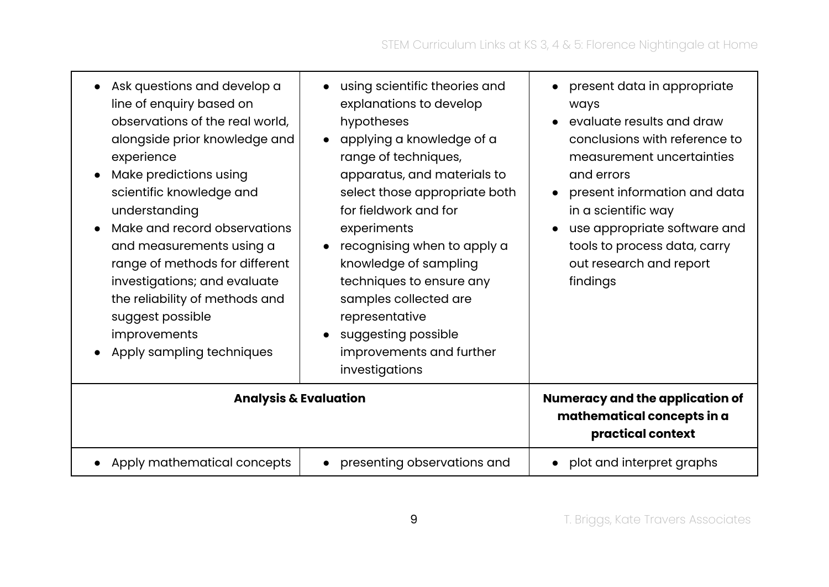| Ask questions and develop a<br>line of enquiry based on<br>observations of the real world,<br>alongside prior knowledge and<br>experience<br>Make predictions using<br>scientific knowledge and<br>understanding<br>Make and record observations<br>and measurements using a<br>range of methods for different<br>investigations; and evaluate<br>the reliability of methods and<br>suggest possible<br>improvements<br>Apply sampling techniques | using scientific theories and<br>$\bullet$<br>explanations to develop<br>hypotheses<br>applying a knowledge of a<br>$\bullet$<br>range of techniques,<br>apparatus, and materials to<br>select those appropriate both<br>for fieldwork and for<br>experiments<br>recognising when to apply a<br>knowledge of sampling<br>techniques to ensure any<br>samples collected are<br>representative<br>suggesting possible<br>$\bullet$<br>improvements and further<br>investigations | present data in appropriate<br>$\bullet$<br>ways<br>evaluate results and draw<br>$\bullet$<br>conclusions with reference to<br>measurement uncertainties<br>and errors<br>present information and data<br>$\bullet$<br>in a scientific way<br>use appropriate software and<br>$\bullet$<br>tools to process data, carry<br>out research and report<br>findings |
|---------------------------------------------------------------------------------------------------------------------------------------------------------------------------------------------------------------------------------------------------------------------------------------------------------------------------------------------------------------------------------------------------------------------------------------------------|--------------------------------------------------------------------------------------------------------------------------------------------------------------------------------------------------------------------------------------------------------------------------------------------------------------------------------------------------------------------------------------------------------------------------------------------------------------------------------|----------------------------------------------------------------------------------------------------------------------------------------------------------------------------------------------------------------------------------------------------------------------------------------------------------------------------------------------------------------|
|                                                                                                                                                                                                                                                                                                                                                                                                                                                   | <b>Analysis &amp; Evaluation</b>                                                                                                                                                                                                                                                                                                                                                                                                                                               | Numeracy and the application of<br>mathematical concepts in a<br>practical context                                                                                                                                                                                                                                                                             |
| Apply mathematical concepts                                                                                                                                                                                                                                                                                                                                                                                                                       | presenting observations and<br>$\bullet$                                                                                                                                                                                                                                                                                                                                                                                                                                       | plot and interpret graphs<br>$\bullet$                                                                                                                                                                                                                                                                                                                         |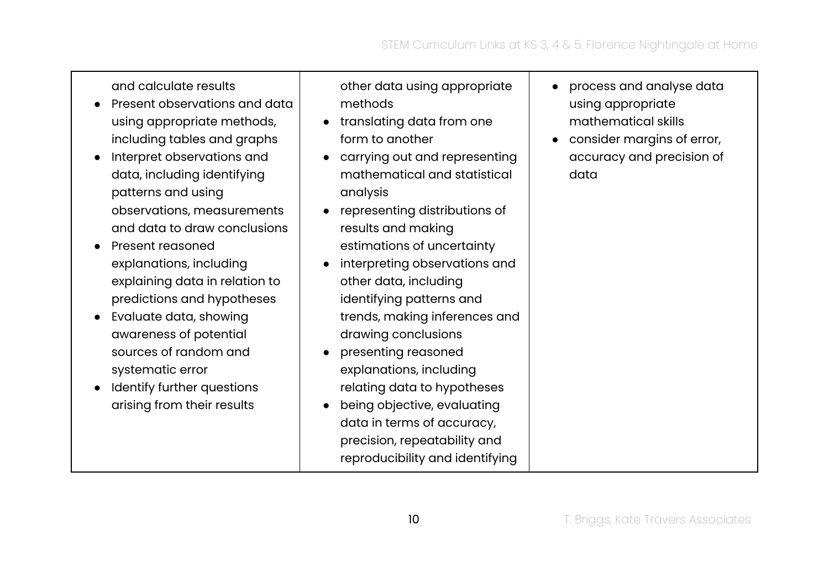and calculate results

- Present observations and data using appropriate methods, including tables and graphs
- Interpret observations and data, including identifying patterns and using observations, measurements and data to draw conclusions
- Present reasoned explanations, including explaining data in relation to predictions and hypotheses
- Evaluate data, showing awareness of potential sources of random and systematic error
- Identify further questions arising from their results

other data using appropriate methods

- translating data from one form to another
- carrying out and representing mathematical and statistical analysis
- representing distributions of results and making estimations of uncertainty
- interpreting observations and other data, including identifying patterns and trends, making inferences and drawing conclusions
- presenting reasoned explanations, including relating data to hypotheses
- being objective, evaluating data in terms of accuracy, precision, repeatability and reproducibility and identifying
- process and analyse data using appropriate mathematical skills
- consider margins of error, accuracy and precision of data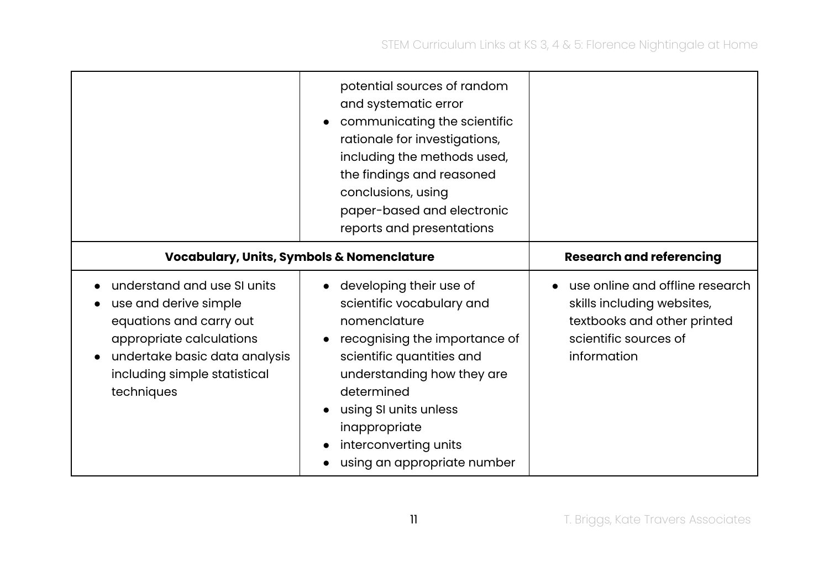|                                                                                                                                                                                            | potential sources of random<br>and systematic error<br>communicating the scientific<br>$\bullet$<br>rationale for investigations,<br>including the methods used,<br>the findings and reasoned<br>conclusions, using<br>paper-based and electronic<br>reports and presentations                             |                                                                                                                                      |
|--------------------------------------------------------------------------------------------------------------------------------------------------------------------------------------------|------------------------------------------------------------------------------------------------------------------------------------------------------------------------------------------------------------------------------------------------------------------------------------------------------------|--------------------------------------------------------------------------------------------------------------------------------------|
|                                                                                                                                                                                            | <b>Vocabulary, Units, Symbols &amp; Nomenclature</b>                                                                                                                                                                                                                                                       | <b>Research and referencing</b>                                                                                                      |
| understand and use SI units<br>use and derive simple<br>equations and carry out<br>appropriate calculations<br>undertake basic data analysis<br>including simple statistical<br>techniques | developing their use of<br>$\bullet$<br>scientific vocabulary and<br>nomenclature<br>recognising the importance of<br>scientific quantities and<br>understanding how they are<br>determined<br>using SI units unless<br>$\bullet$<br>inappropriate<br>interconverting units<br>using an appropriate number | use online and offline research<br>skills including websites,<br>textbooks and other printed<br>scientific sources of<br>information |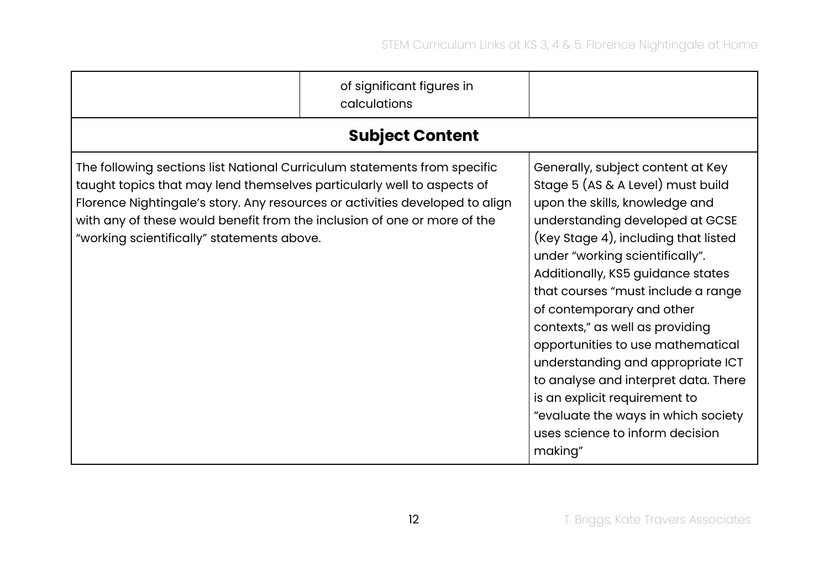|                                                                                                                                                                                                                                                                                                                                                              | of significant figures in<br>calculations |                                                                                                                                                                                                                                                                                                                                                                                                                                                                                                                                                                                                           |
|--------------------------------------------------------------------------------------------------------------------------------------------------------------------------------------------------------------------------------------------------------------------------------------------------------------------------------------------------------------|-------------------------------------------|-----------------------------------------------------------------------------------------------------------------------------------------------------------------------------------------------------------------------------------------------------------------------------------------------------------------------------------------------------------------------------------------------------------------------------------------------------------------------------------------------------------------------------------------------------------------------------------------------------------|
|                                                                                                                                                                                                                                                                                                                                                              | <b>Subject Content</b>                    |                                                                                                                                                                                                                                                                                                                                                                                                                                                                                                                                                                                                           |
| The following sections list National Curriculum statements from specific<br>taught topics that may lend themselves particularly well to aspects of<br>Florence Nightingale's story. Any resources or activities developed to align<br>with any of these would benefit from the inclusion of one or more of the<br>"working scientifically" statements above. |                                           | Generally, subject content at Key<br>Stage 5 (AS & A Level) must build<br>upon the skills, knowledge and<br>understanding developed at GCSE<br>(Key Stage 4), including that listed<br>under "working scientifically".<br>Additionally, KS5 guidance states<br>that courses "must include a range<br>of contemporary and other<br>contexts," as well as providing<br>opportunities to use mathematical<br>understanding and appropriate ICT<br>to analyse and interpret data. There<br>is an explicit requirement to<br>"evaluate the ways in which society<br>uses science to inform decision<br>making" |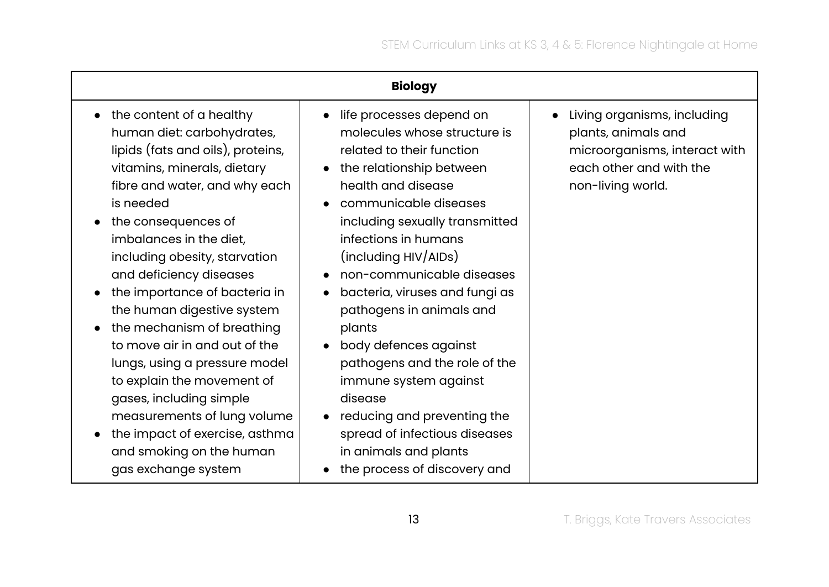| <b>Biology</b>                                                                                                                                                                                                                                                                                                                                                                                                                                                                                                                                                                                                                                               |                                                                                                                                                                                                                                                                                                                                                                                                                                                                                                                                                                                                                       |                                                                                                                                     |
|--------------------------------------------------------------------------------------------------------------------------------------------------------------------------------------------------------------------------------------------------------------------------------------------------------------------------------------------------------------------------------------------------------------------------------------------------------------------------------------------------------------------------------------------------------------------------------------------------------------------------------------------------------------|-----------------------------------------------------------------------------------------------------------------------------------------------------------------------------------------------------------------------------------------------------------------------------------------------------------------------------------------------------------------------------------------------------------------------------------------------------------------------------------------------------------------------------------------------------------------------------------------------------------------------|-------------------------------------------------------------------------------------------------------------------------------------|
| the content of a healthy<br>$\bullet$<br>human diet: carbohydrates,<br>lipids (fats and oils), proteins,<br>vitamins, minerals, dietary<br>fibre and water, and why each<br>is needed<br>the consequences of<br>imbalances in the diet,<br>including obesity, starvation<br>and deficiency diseases<br>the importance of bacteria in<br>the human digestive system<br>the mechanism of breathing<br>$\bullet$<br>to move air in and out of the<br>lungs, using a pressure model<br>to explain the movement of<br>gases, including simple<br>measurements of lung volume<br>the impact of exercise, asthma<br>and smoking on the human<br>gas exchange system | life processes depend on<br>$\bullet$<br>molecules whose structure is<br>related to their function<br>the relationship between<br>health and disease<br>communicable diseases<br>including sexually transmitted<br>infections in humans<br>(including HIV/AIDs)<br>non-communicable diseases<br>bacteria, viruses and fungi as<br>$\bullet$<br>pathogens in animals and<br>plants<br>body defences against<br>$\bullet$<br>pathogens and the role of the<br>immune system against<br>disease<br>reducing and preventing the<br>spread of infectious diseases<br>in animals and plants<br>the process of discovery and | Living organisms, including<br>plants, animals and<br>microorganisms, interact with<br>each other and with the<br>non-living world. |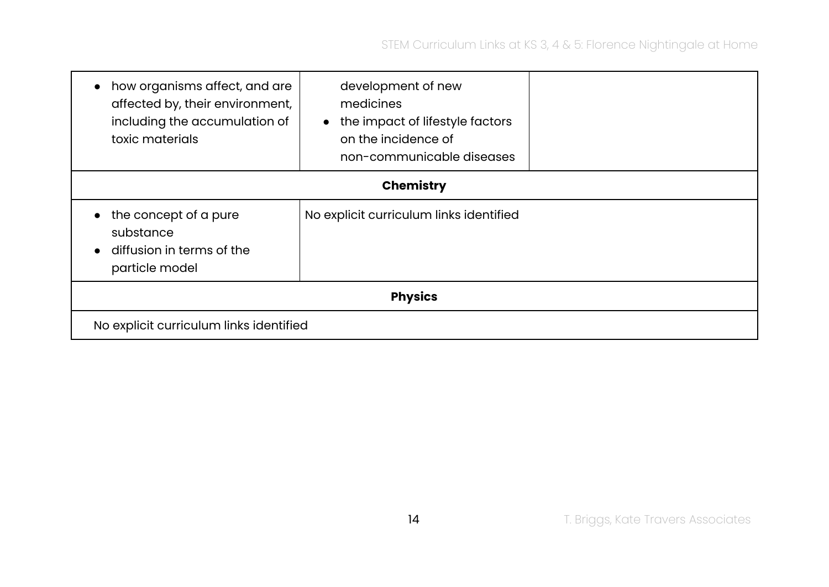| how organisms affect, and are<br>affected by, their environment,<br>including the accumulation of<br>toxic materials | development of new<br>medicines<br>the impact of lifestyle factors<br>$\bullet$<br>on the incidence of<br>non-communicable diseases |  |  |  |
|----------------------------------------------------------------------------------------------------------------------|-------------------------------------------------------------------------------------------------------------------------------------|--|--|--|
| <b>Chemistry</b>                                                                                                     |                                                                                                                                     |  |  |  |
| the concept of a pure<br>substance<br>diffusion in terms of the<br>particle model                                    | No explicit curriculum links identified                                                                                             |  |  |  |
| <b>Physics</b>                                                                                                       |                                                                                                                                     |  |  |  |
| No explicit curriculum links identified                                                                              |                                                                                                                                     |  |  |  |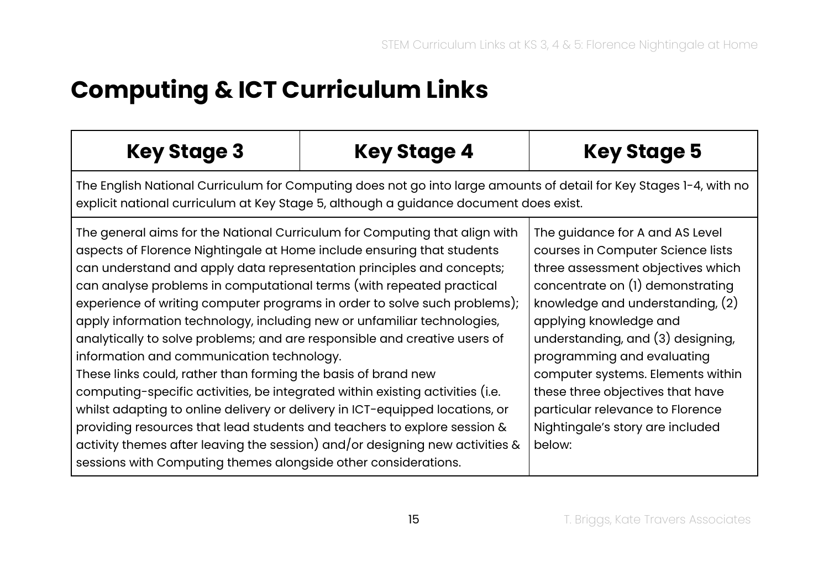## <span id="page-14-0"></span>**Computing & ICT Curriculum Links**

| <b>Key Stage 3</b>                                                                                                                                                                                                                                                                                                                                                                                                                                                                                                                                                                                                                                                                                                                                                                                                                                                                                                                                                                                                                                      | <b>Key Stage 4</b> | <b>Key Stage 5</b>                                                                                                                                                                                                                                                                                                                                                                                                                          |  |
|---------------------------------------------------------------------------------------------------------------------------------------------------------------------------------------------------------------------------------------------------------------------------------------------------------------------------------------------------------------------------------------------------------------------------------------------------------------------------------------------------------------------------------------------------------------------------------------------------------------------------------------------------------------------------------------------------------------------------------------------------------------------------------------------------------------------------------------------------------------------------------------------------------------------------------------------------------------------------------------------------------------------------------------------------------|--------------------|---------------------------------------------------------------------------------------------------------------------------------------------------------------------------------------------------------------------------------------------------------------------------------------------------------------------------------------------------------------------------------------------------------------------------------------------|--|
| The English National Curriculum for Computing does not go into large amounts of detail for Key Stages 1-4, with no<br>explicit national curriculum at Key Stage 5, although a guidance document does exist.                                                                                                                                                                                                                                                                                                                                                                                                                                                                                                                                                                                                                                                                                                                                                                                                                                             |                    |                                                                                                                                                                                                                                                                                                                                                                                                                                             |  |
| The general aims for the National Curriculum for Computing that align with<br>aspects of Florence Nightingale at Home include ensuring that students<br>can understand and apply data representation principles and concepts;<br>can analyse problems in computational terms (with repeated practical<br>experience of writing computer programs in order to solve such problems);<br>apply information technology, including new or unfamiliar technologies,<br>analytically to solve problems; and are responsible and creative users of<br>information and communication technology.<br>These links could, rather than forming the basis of brand new<br>computing-specific activities, be integrated within existing activities (i.e.<br>whilst adapting to online delivery or delivery in ICT-equipped locations, or<br>providing resources that lead students and teachers to explore session &<br>activity themes after leaving the session) and/or designing new activities &<br>sessions with Computing themes alongside other considerations. |                    | The guidance for A and AS Level<br>courses in Computer Science lists<br>three assessment objectives which<br>concentrate on (1) demonstrating<br>knowledge and understanding, $(2)$<br>applying knowledge and<br>understanding, and (3) designing,<br>programming and evaluating<br>computer systems. Elements within<br>these three objectives that have<br>particular relevance to Florence<br>Nightingale's story are included<br>below: |  |